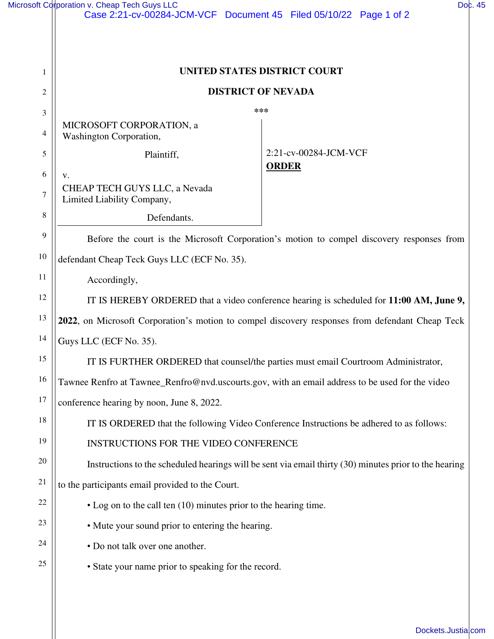|                | Microsoft Corporation v. Cheap Tech Guys LLC<br>Case 2:21-cv-00284-JCM-VCF Document 45 Filed 05/10/22 Page 1 of 2 | Doc. 45 |
|----------------|-------------------------------------------------------------------------------------------------------------------|---------|
|                |                                                                                                                   |         |
|                |                                                                                                                   |         |
| 1              | UNITED STATES DISTRICT COURT                                                                                      |         |
| $\overline{c}$ | <b>DISTRICT OF NEVADA</b>                                                                                         |         |
| 3              | ***                                                                                                               |         |
| 4              | MICROSOFT CORPORATION, a<br>Washington Corporation,                                                               |         |
| 5              | 2:21-cv-00284-JCM-VCF<br>Plaintiff,<br><b>ORDER</b>                                                               |         |
| 6              | v.                                                                                                                |         |
| $\tau$         | CHEAP TECH GUYS LLC, a Nevada<br>Limited Liability Company,                                                       |         |
| 8              | Defendants.                                                                                                       |         |
| 9              | Before the court is the Microsoft Corporation's motion to compel discovery responses from                         |         |
| 10             | defendant Cheap Teck Guys LLC (ECF No. 35).                                                                       |         |
| 11             | Accordingly,                                                                                                      |         |
| 12             | IT IS HEREBY ORDERED that a video conference hearing is scheduled for 11:00 AM, June 9,                           |         |
| 13             | 2022, on Microsoft Corporation's motion to compel discovery responses from defendant Cheap Teck                   |         |
| 14             | Guys LLC (ECF No. 35).                                                                                            |         |
| 15             | IT IS FURTHER ORDERED that counsel/the parties must email Courtroom Administrator,                                |         |
| 16             | Tawnee Renfro at Tawnee_Renfro@nvd.uscourts.gov, with an email address to be used for the video                   |         |
| 17             | conference hearing by noon, June 8, 2022.                                                                         |         |
| $18\,$         | IT IS ORDERED that the following Video Conference Instructions be adhered to as follows:                          |         |
| 19             | INSTRUCTIONS FOR THE VIDEO CONFERENCE                                                                             |         |
| 20             | Instructions to the scheduled hearings will be sent via email thirty (30) minutes prior to the hearing            |         |
| 21             | to the participants email provided to the Court.                                                                  |         |
| 22             | • Log on to the call ten (10) minutes prior to the hearing time.                                                  |         |
| 23             | • Mute your sound prior to entering the hearing.                                                                  |         |
| 24             | • Do not talk over one another.                                                                                   |         |
| 25             | • State your name prior to speaking for the record.                                                               |         |
|                |                                                                                                                   |         |